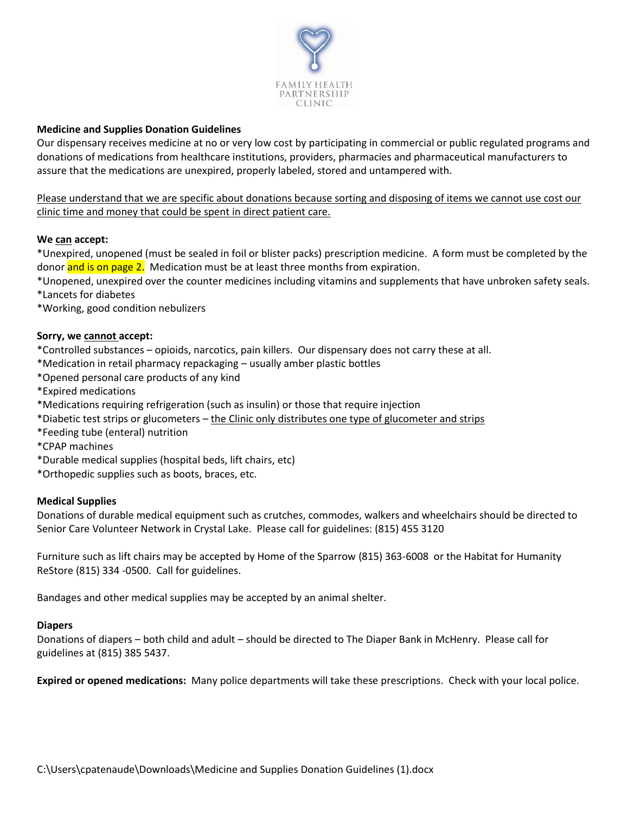

# **Medicine and Supplies Donation Guidelines**

Our dispensary receives medicine at no or very low cost by participating in commercial or public regulated programs and donations of medications from healthcare institutions, providers, pharmacies and pharmaceutical manufacturers to assure that the medications are unexpired, properly labeled, stored and untampered with.

Please understand that we are specific about donations because sorting and disposing of items we cannot use cost our clinic time and money that could be spent in direct patient care.

## **We can accept:**

\*Unexpired, unopened (must be sealed in foil or blister packs) prescription medicine. A form must be completed by the donor and is on page 2. Medication must be at least three months from expiration.

\*Unopened, unexpired over the counter medicines including vitamins and supplements that have unbroken safety seals. \*Lancets for diabetes

\*Working, good condition nebulizers

### **Sorry, we cannot accept:**

\*Controlled substances – opioids, narcotics, pain killers. Our dispensary does not carry these at all.

\*Medication in retail pharmacy repackaging – usually amber plastic bottles

- \*Opened personal care products of any kind
- \*Expired medications
- \*Medications requiring refrigeration (such as insulin) or those that require injection
- \*Diabetic test strips or glucometers the Clinic only distributes one type of glucometer and strips
- \*Feeding tube (enteral) nutrition
- \*CPAP machines
- \*Durable medical supplies (hospital beds, lift chairs, etc)
- \*Orthopedic supplies such as boots, braces, etc.

### **Medical Supplies**

Donations of durable medical equipment such as crutches, commodes, walkers and wheelchairs should be directed to Senior Care Volunteer Network in Crystal Lake. Please call for guidelines: (815) 455 3120

Furniture such as lift chairs may be accepted by Home of the Sparrow (815) 363-6008 or the Habitat for Humanity ReStore (815) 334 -0500. Call for guidelines.

Bandages and other medical supplies may be accepted by an animal shelter.

### **Diapers**

Donations of diapers – both child and adult – should be directed to The Diaper Bank in McHenry. Please call for guidelines at (815) 385 5437.

**Expired or opened medications:** Many police departments will take these prescriptions. Check with your local police.